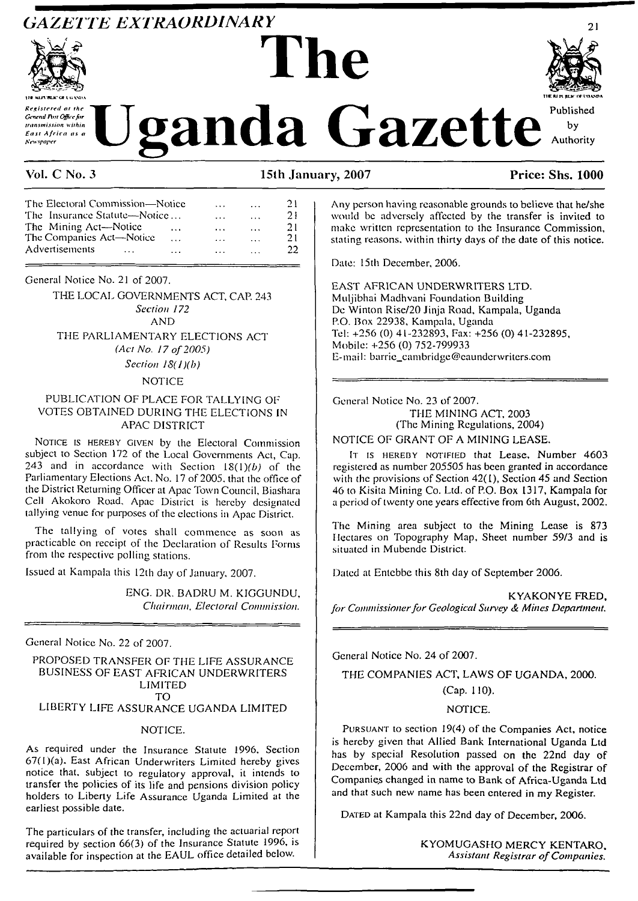# *GAZETTE EXTRAORDINARY* **The**





*Registered at the* **\*T^F" 'Tr "TH <sup>J</sup>** *<sup>A</sup>* Published **ISSUE ATT ATT ATT CONTRACT A**<br> *Kesistered at the*<br> *Kesistered at the*<br> *Kesisterica as a*<br> *Kesisterica as a*<br> *Kesisterica as a* 

**TIE R1 H BLX CT I'OAXPA**

#### **Vol. C No. 3 15th January, 2007 Price: Shs. 1000**

| The Electoral Commission—Notice      |          | $\cdots$       | $\cdots$                | 21 |
|--------------------------------------|----------|----------------|-------------------------|----|
| The Insurance Statute—Notice         |          | $\cdots$       | $\cdots$                | 21 |
| The Mining Act-Notice                | $\cdots$ | $\cdots$       | $\cdot$ $\cdot$ $\cdot$ | 21 |
| The Companies Act-Notice<br>$\cdots$ |          | $\overline{a}$ | $\cdots$                | 21 |
| Advertisements<br>$\cdots$           | $  -$    | $\cdots$       | .                       | 22 |

General Notice No. 21 of 2007.

THE LOCAL GOVERNMENTS ACT, CAP. 243 *Section 172* AND THE PARLIAMENTARY ELECTIONS ACT *(Act No. <sup>17</sup> of2005) Section 18(l)(b)*

#### **NOTICE**

#### PUBLICATION OF PLACE FOR TALLYING OF VOTES OBTAINED DURING THE ELECTIONS IN APAC DISTRICT

NOTICE IS HEREBY GIVEN by the Electoral Commission subject to Section 172 of the Local Governments Act, Cap. 243 and in accordance with Section  $18(1)(b)$  of the Parliamentary Elections Act. No. 17 of 2005. that the office of the District Returning Officer at Apac Town Council, Biashara Cell Akokoro Road, Apac District is hereby designated tallying venue for purposes of the elections in Apac District.

The tallying of votes shall commence as soon as practicable on receipt of the Declaration of Results Forms from the respective polling stations.

Issued at Kampala this 12th day of January, 2007.

ENG. DR. BADRU M. KIGGUNDU, *Chairman. Electoral Commission.*

General Notice No. 22 of 2007.

#### PROPOSED TRANSFER OF THE LIFE ASSURANCE BUSINESS OF EAST AFRICAN UNDERWRITERS LIMITED TO

### LIBERTY LIFE ASSURANCE UGANDA LIMITED

#### NOTICE.

As required under the Insurance Statute 1996, Section 67(I)(a). East African Underwriters Limited hereby gives notice that, subject to regulatory approval, it intends to transfer the policies of its life and pensions division policy holders to Liberty Life Assurance Uganda Limited at the earliest possible date.

The particulars of the transfer, including the actuarial report required by section 66(3) of the Insurance Statute 1996, is available for inspection at the EAUL office detailed below.

Any person having reasonable grounds to believe that he/she would be adversely affected by the transfer is invited to make written representation to the Insurance Commission, stating reasons, within thirty days of the date of this notice.

Date: 15th December, 2006.

EAST AFRICAN UNDERWRITERS LTD. Muljibhai Madhvani Foundation Building De Winton Rise/20 Jinja Road, Kampala, Uganda P.O. Box 22938, Kampala, Uganda Tel: +256 (0) 41-232893, Fax: +256 (0) 41-232895, Mobile: +256 (0) 752-799933 E-mail: [barric\\_cambridge@caunderwriters.com](mailto:barric_cambridge@caunderwriters.com)

General Notice No. 23 of 2007. THE MINING ACT, 2003 (The Mining Regulations, 2004)

NOTICE OF GRANT OF A MINING LEASE.

IT IS HEREBY NOTIFIED that Lease, Number 4603 registered as number 205505 has been granted in accordance with the provisions of Section 42(1), Section 45 and Section 46 to Kisita Mining Co. Ltd. of P.O. Box 1317, Kampala for a period of twenty one years effective from 6th August, 2002.

The Mining area subject to the Mining Lease is 873 Hectares on Topography Map, Sheet number 59/3 and is situated in Mubendc District.

Dated at Entebbe this 8th day of September 2006.

KYAKONYE FRED, *for Commissionerfor Geological Survey & Mines Department.*

General Notice No. 24 of 2007.

THE COMPANIES ACT, LAWS OF UGANDA, 2000.

# (Cap. 110).

#### NOTICE.

Pursuant to section 19(4) of the Companies Act, notice is hereby given that Allied Bank International Uganda Ltd has by special Resolution passed on the 22nd day of December, 2006 and with the approval of the Registrar of Companies changed in name to Bank of Africa-Uganda Ltd and that such new name has been entered in my Register.

DATED at Kampala this 22nd day of December, 2006.

KYOMUGASHO MERCY KENTARO, *Assistant Registrar ofCompanies.*